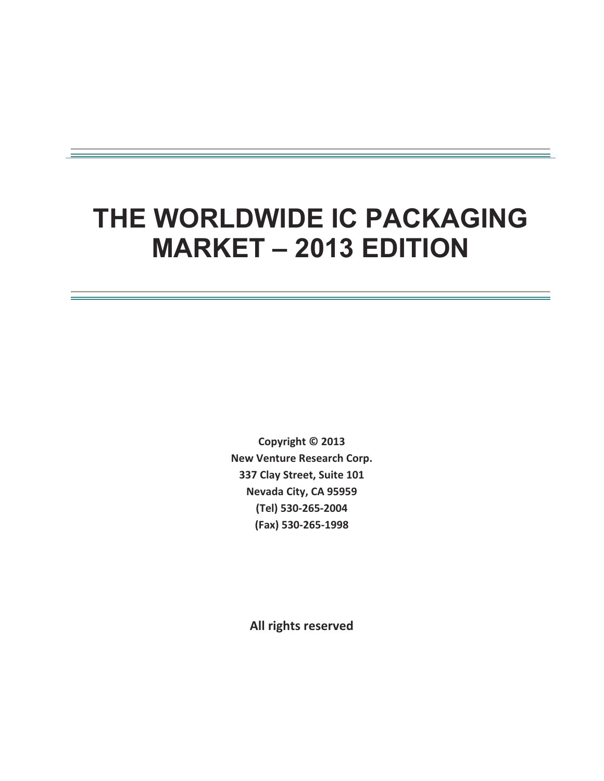# **THE WORLDWIDE IC PACKAGING MARKET – 2013 EDITION**

Copyright © 2013 **New Venture Research Corp.** 337 Clay Street, Suite 101 **Nevada City, CA 95959 (Tel)-5302652004- (Fax)-5302651998-**

All rights reserved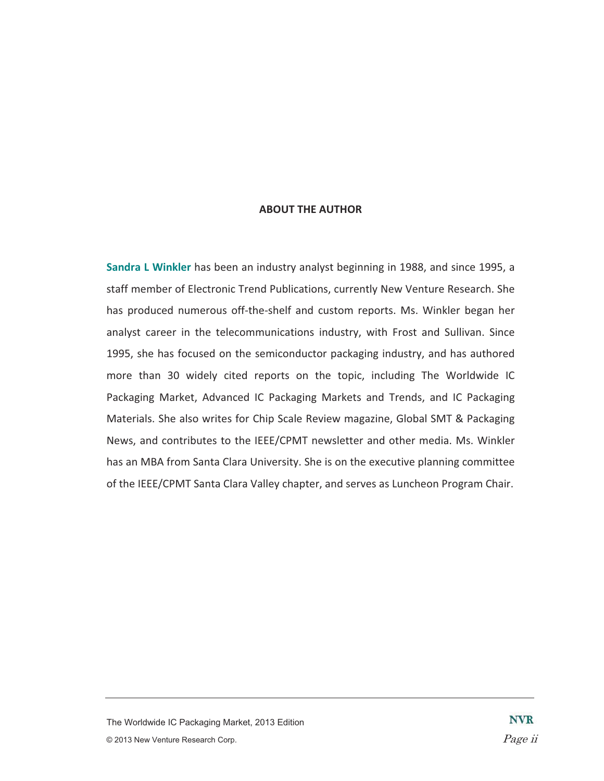#### **ABOUT THE AUTHOR**

Sandra L Winkler has been an industry analyst beginning in 1988, and since 1995, a staff member of Electronic Trend Publications, currently New Venture Research. She has produced numerous off-the-shelf and custom reports. Ms. Winkler began her analyst career in the telecommunications industry, with Frost and Sullivan. Since 1995, she has focused on the semiconductor packaging industry, and has authored more than 30 widely cited reports on the topic, including The Worldwide IC Packaging Market, Advanced IC Packaging Markets and Trends, and IC Packaging Materials. She also writes for Chip Scale Review magazine, Global SMT & Packaging News, and contributes to the IEEE/CPMT newsletter and other media. Ms. Winkler has an MBA from Santa Clara University. She is on the executive planning committee of the IEEE/CPMT Santa Clara Valley chapter, and serves as Luncheon Program Chair.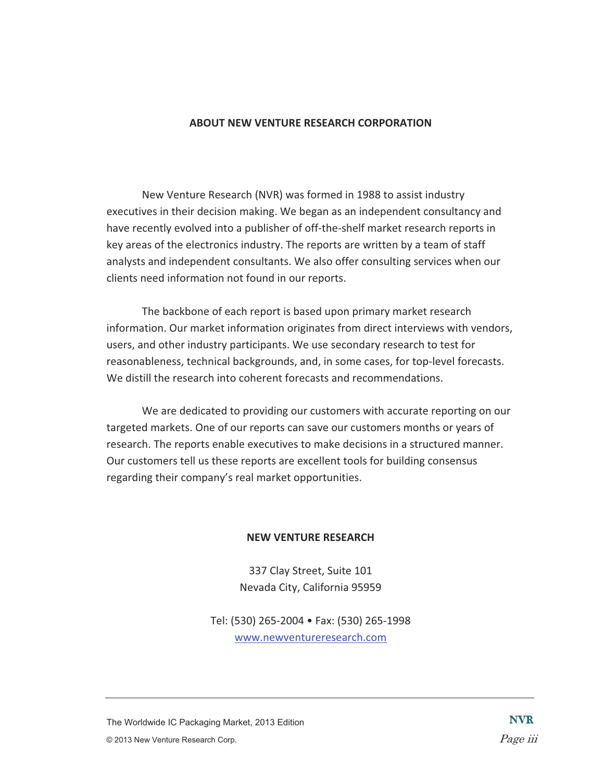#### **ABOUT NEW VENTURE RESEARCH CORPORATION**

New Venture Research (NVR) was formed in 1988 to assist industry executives in their decision making. We began as an independent consultancy and have recently evolved into a publisher of off-the-shelf market research reports in key areas of the electronics industry. The reports are written by a team of staff analysts and independent consultants. We also offer consulting services when our clients need information not found in our reports.

The backbone of each report is based upon primary market research information. Our market information originates from direct interviews with vendors, users, and other industry participants. We use secondary research to test for reasonableness, technical backgrounds, and, in some cases, for top-level forecasts. We distill the research into coherent forecasts and recommendations.

We are dedicated to providing our customers with accurate reporting on our targeted markets. One of our reports can save our customers months or years of research. The reports enable executives to make decisions in a structured manner. Our customers tell us these reports are excellent tools for building consensus regarding their company's real market opportunities.

#### **NEW VENTURE RESEARCH**

337 Clay Street, Suite 101 Nevada City, California 95959

Tel: (530) 265-2004 • Fax: (530) 265-1998 www.newventureresearch.com

The Worldwide IC Packaging Market, 2013 Edition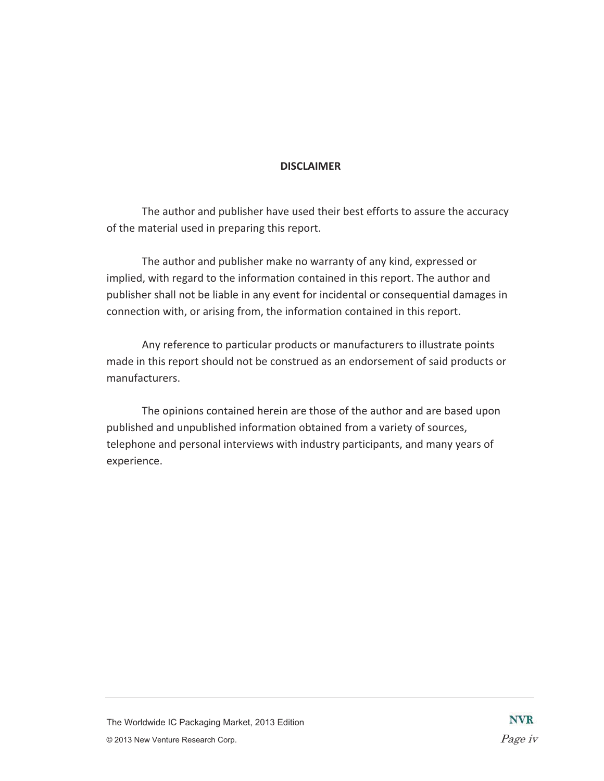#### **DISCLAIMER**

The author and publisher have used their best efforts to assure the accuracy of the material used in preparing this report.

The author and publisher make no warranty of any kind, expressed or implied, with regard to the information contained in this report. The author and publisher shall not be liable in any event for incidental or consequential damages in connection with, or arising from, the information contained in this report.

Any reference to particular products or manufacturers to illustrate points made in this report should not be construed as an endorsement of said products or manufacturers.

The opinions contained herein are those of the author and are based upon published and unpublished information obtained from a variety of sources, telephone and personal interviews with industry participants, and many years of experience.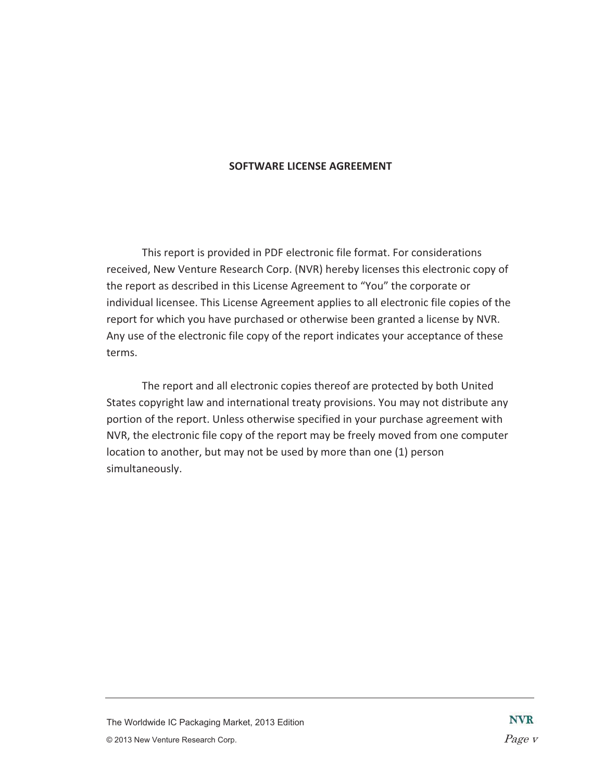#### **SOFTWARE LICENSE AGREEMENT**

This report is provided in PDF electronic file format. For considerations received, New Venture Research Corp. (NVR) hereby licenses this electronic copy of the report as described in this License Agreement to "You" the corporate or individual licensee. This License Agreement applies to all electronic file copies of the report for which you have purchased or otherwise been granted a license by NVR. Any use of the electronic file copy of the report indicates your acceptance of these terms.

The report and all electronic copies thereof are protected by both United States copyright law and international treaty provisions. You may not distribute any portion of the report. Unless otherwise specified in your purchase agreement with NVR, the electronic file copy of the report may be freely moved from one computer location to another, but may not be used by more than one (1) person simultaneously.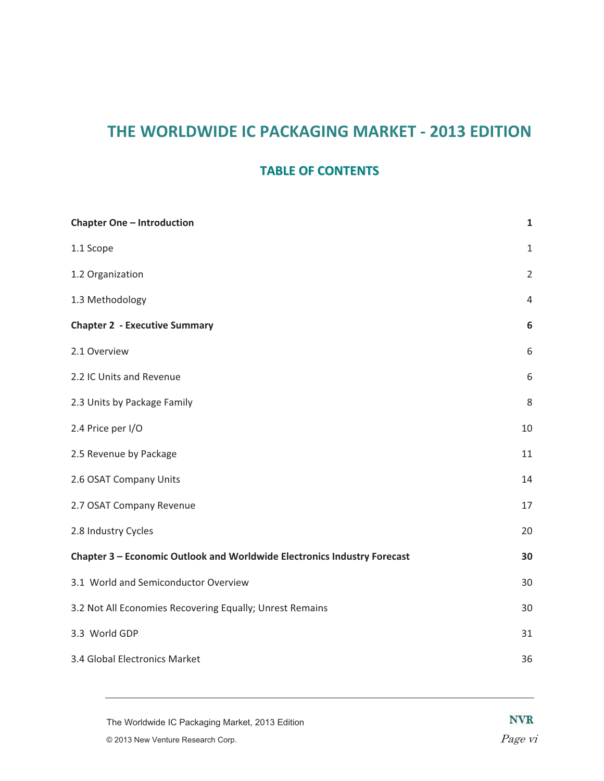## **THE WORLDWIDE IC PACKAGING MARKET - 2013 EDITION**

### **TABLE OF CONTENTS**

| <b>Chapter One - Introduction</b>                                        | $\mathbf{1}$   |
|--------------------------------------------------------------------------|----------------|
| 1.1 Scope                                                                | $\mathbf{1}$   |
| 1.2 Organization                                                         | $\overline{2}$ |
| 1.3 Methodology                                                          | $\overline{4}$ |
| <b>Chapter 2 - Executive Summary</b>                                     | 6              |
| 2.1 Overview                                                             | 6              |
| 2.2 IC Units and Revenue                                                 | 6              |
| 2.3 Units by Package Family                                              | 8              |
| 2.4 Price per I/O                                                        | 10             |
| 2.5 Revenue by Package                                                   | 11             |
| 2.6 OSAT Company Units                                                   | 14             |
| 2.7 OSAT Company Revenue                                                 | 17             |
| 2.8 Industry Cycles                                                      | 20             |
| Chapter 3 - Economic Outlook and Worldwide Electronics Industry Forecast | 30             |
| 3.1 World and Semiconductor Overview                                     | 30             |
| 3.2 Not All Economies Recovering Equally; Unrest Remains                 | 30             |
| 3.3 World GDP                                                            | 31             |
| 3.4 Global Electronics Market                                            | 36             |

The Worldwide IC Packaging Market, 2013 Edition  $\circ$  2013 New Venture Research Corp.  $Page$  vi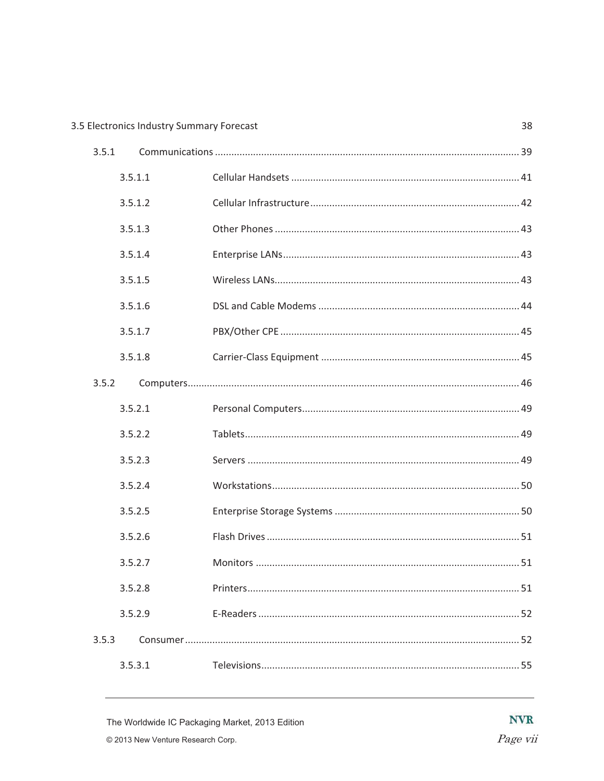| 3.5.1 |         |  |
|-------|---------|--|
|       | 3.5.1.1 |  |
|       | 3.5.1.2 |  |
|       | 3.5.1.3 |  |
|       | 3.5.1.4 |  |
|       | 3.5.1.5 |  |
|       | 3.5.1.6 |  |
|       | 3.5.1.7 |  |
|       | 3.5.1.8 |  |
| 3.5.2 |         |  |
|       | 3.5.2.1 |  |
|       | 3.5.2.2 |  |
|       | 3.5.2.3 |  |
|       | 3.5.2.4 |  |
|       | 3.5.2.5 |  |
|       | 3.5.2.6 |  |
|       | 3.5.2.7 |  |
|       | 3.5.2.8 |  |
|       | 3.5.2.9 |  |
| 3.5.3 |         |  |

 $3.5.3.1$ 

The Worldwide IC Packaging Market, 2013 Edition

38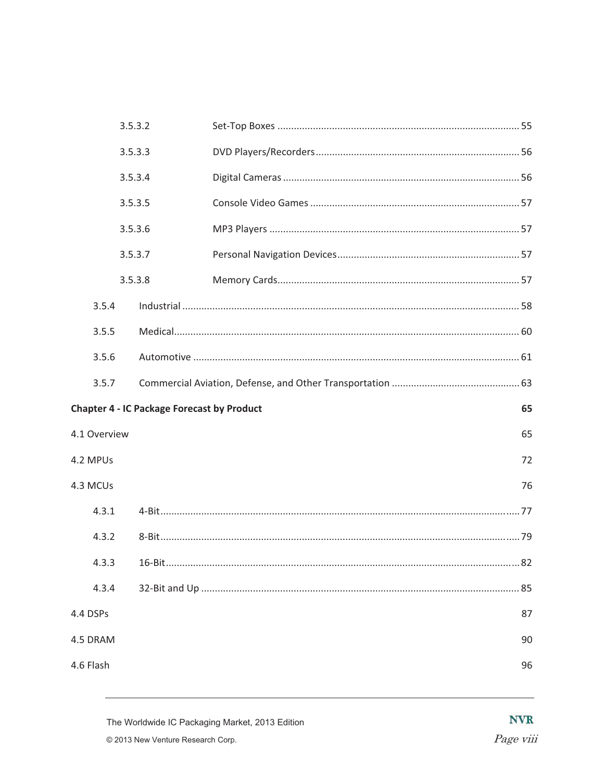|              | 3.5.3.2                                           |    |    |
|--------------|---------------------------------------------------|----|----|
|              | 3.5.3.3                                           |    |    |
|              | 3.5.3.4                                           |    |    |
|              | 3.5.3.5                                           |    |    |
|              | 3.5.3.6                                           |    |    |
|              | 3.5.3.7                                           |    |    |
|              | 3.5.3.8                                           |    |    |
| 3.5.4        |                                                   |    |    |
| 3.5.5        |                                                   |    |    |
| 3.5.6        |                                                   |    |    |
| 3.5.7        |                                                   |    |    |
|              | <b>Chapter 4 - IC Package Forecast by Product</b> |    | 65 |
| 4.1 Overview |                                                   |    | 65 |
|              |                                                   |    |    |
| 4.2 MPUs     |                                                   |    | 72 |
| 4.3 MCUs     |                                                   |    | 76 |
| 4.3.1        |                                                   |    |    |
| 4.3.2        |                                                   |    |    |
|              | 4.3.3   16-Bit.                                   | 82 |    |
| 4.3.4        |                                                   |    |    |
| 4.4 DSPs     |                                                   |    | 87 |
| 4.5 DRAM     |                                                   |    | 90 |
| 4.6 Flash    |                                                   |    | 96 |

The Worldwide IC Packaging Market, 2013 Edition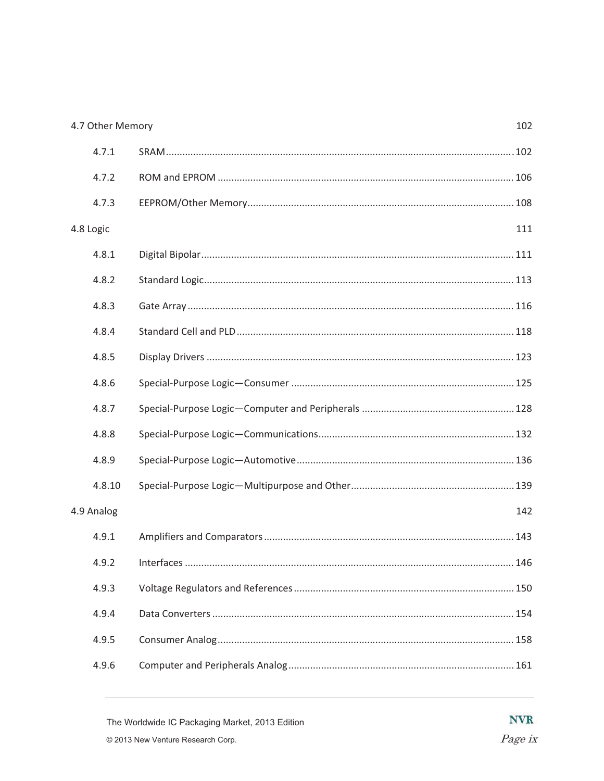| 4.7 Other Memory<br>102 |  |     |  |
|-------------------------|--|-----|--|
| 4.7.1                   |  |     |  |
| 4.7.2                   |  |     |  |
| 4.7.3                   |  |     |  |
| 4.8 Logic               |  | 111 |  |
| 4.8.1                   |  |     |  |
| 4.8.2                   |  |     |  |
| 4.8.3                   |  |     |  |
| 4.8.4                   |  |     |  |
| 4.8.5                   |  |     |  |
| 4.8.6                   |  |     |  |
| 4.8.7                   |  |     |  |
| 4.8.8                   |  |     |  |
| 4.8.9                   |  |     |  |
| 4.8.10                  |  |     |  |
| 4.9 Analog              |  | 142 |  |
| 4.9.1                   |  |     |  |
|                         |  |     |  |
| 4.9.3                   |  |     |  |
| 4.9.4                   |  |     |  |
| 4.9.5                   |  |     |  |
| 4.9.6                   |  |     |  |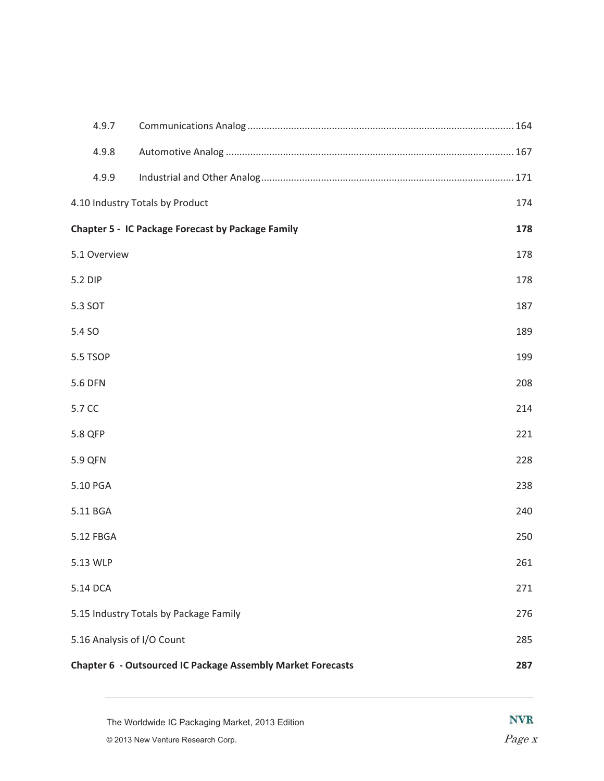|                | 4.9.7                                                    |                                                                    |     |
|----------------|----------------------------------------------------------|--------------------------------------------------------------------|-----|
|                | 4.9.8                                                    |                                                                    |     |
|                | 4.9.9                                                    |                                                                    |     |
|                |                                                          | 4.10 Industry Totals by Product                                    | 174 |
|                | <b>Chapter 5 - IC Package Forecast by Package Family</b> |                                                                    | 178 |
|                | 5.1 Overview                                             |                                                                    | 178 |
| 5.2 DIP        |                                                          |                                                                    | 178 |
| 5.3 SOT        |                                                          |                                                                    | 187 |
| 5.4 SO         |                                                          |                                                                    | 189 |
|                | 5.5 TSOP                                                 |                                                                    | 199 |
| <b>5.6 DFN</b> |                                                          |                                                                    | 208 |
| 5.7 CC         |                                                          |                                                                    | 214 |
| <b>5.8 QFP</b> |                                                          |                                                                    | 221 |
| <b>5.9 QFN</b> |                                                          |                                                                    | 228 |
|                | 5.10 PGA                                                 |                                                                    | 238 |
|                | 5.11 BGA                                                 |                                                                    | 240 |
|                | 5.12 FBGA                                                |                                                                    | 250 |
|                | 5.13 WLP                                                 |                                                                    | 261 |
|                | 5.14 DCA                                                 |                                                                    | 271 |
|                |                                                          | 5.15 Industry Totals by Package Family                             | 276 |
|                |                                                          | 5.16 Analysis of I/O Count                                         | 285 |
|                |                                                          | <b>Chapter 6 - Outsourced IC Package Assembly Market Forecasts</b> | 287 |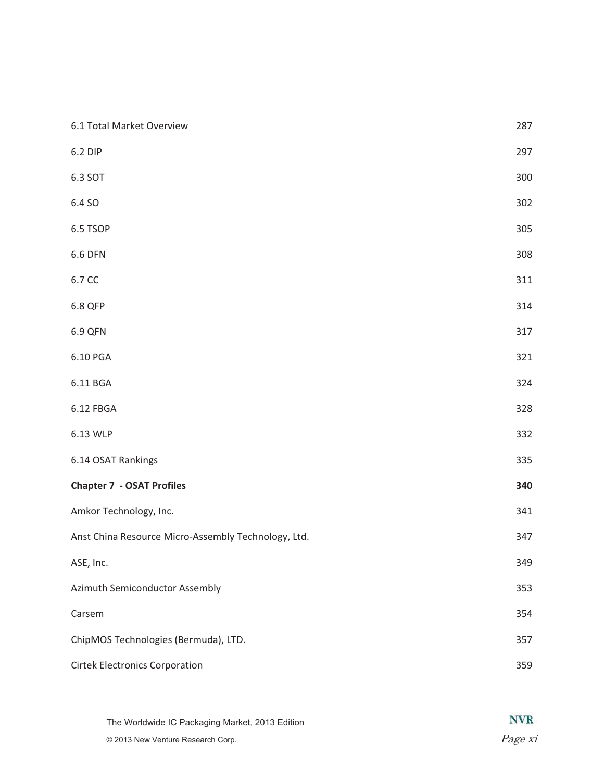| 6.1 Total Market Overview                           | 287 |
|-----------------------------------------------------|-----|
| 6.2 DIP                                             | 297 |
| 6.3 SOT                                             | 300 |
| 6.4 SO                                              | 302 |
| 6.5 TSOP                                            | 305 |
| 6.6 DFN                                             | 308 |
| 6.7 CC                                              | 311 |
| <b>6.8 QFP</b>                                      | 314 |
| <b>6.9 QFN</b>                                      | 317 |
| 6.10 PGA                                            | 321 |
| 6.11 BGA                                            | 324 |
| 6.12 FBGA                                           | 328 |
| 6.13 WLP                                            | 332 |
| 6.14 OSAT Rankings                                  | 335 |
| <b>Chapter 7 - OSAT Profiles</b>                    | 340 |
| Amkor Technology, Inc.                              | 341 |
| Anst China Resource Micro-Assembly Technology, Ltd. | 347 |
| ASE, Inc.                                           | 349 |
| Azimuth Semiconductor Assembly                      | 353 |
| Carsem                                              | 354 |
| ChipMOS Technologies (Bermuda), LTD.                | 357 |
| <b>Cirtek Electronics Corporation</b>               | 359 |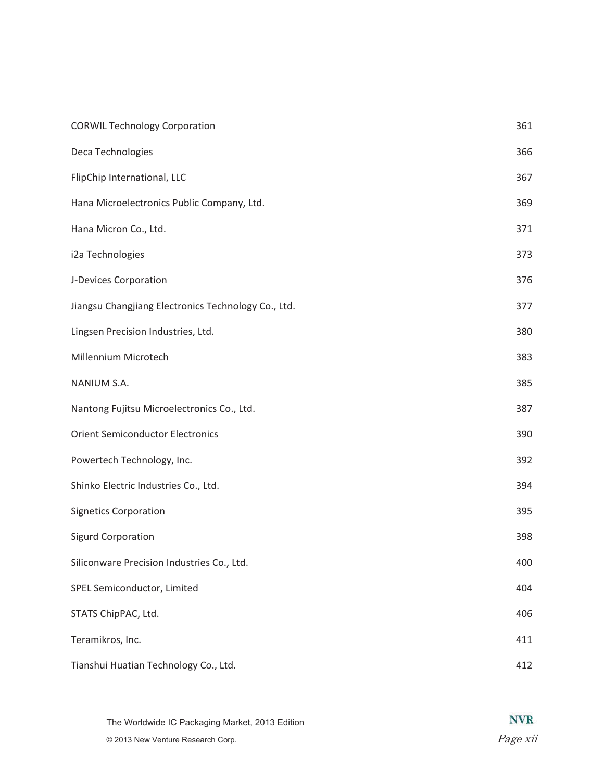| <b>CORWIL Technology Corporation</b>                | 361 |
|-----------------------------------------------------|-----|
| Deca Technologies                                   | 366 |
| FlipChip International, LLC                         | 367 |
| Hana Microelectronics Public Company, Ltd.          | 369 |
| Hana Micron Co., Ltd.                               | 371 |
| i2a Technologies                                    | 373 |
| J-Devices Corporation                               | 376 |
| Jiangsu Changjiang Electronics Technology Co., Ltd. | 377 |
| Lingsen Precision Industries, Ltd.                  | 380 |
| Millennium Microtech                                | 383 |
| NANIUM S.A.                                         | 385 |
| Nantong Fujitsu Microelectronics Co., Ltd.          | 387 |
| <b>Orient Semiconductor Electronics</b>             | 390 |
| Powertech Technology, Inc.                          | 392 |
| Shinko Electric Industries Co., Ltd.                | 394 |
| <b>Signetics Corporation</b>                        | 395 |
| <b>Sigurd Corporation</b>                           | 398 |
| Siliconware Precision Industries Co., Ltd.          | 400 |
| SPEL Semiconductor, Limited                         | 404 |
| STATS ChipPAC, Ltd.                                 | 406 |
| Teramikros, Inc.                                    | 411 |
| Tianshui Huatian Technology Co., Ltd.               | 412 |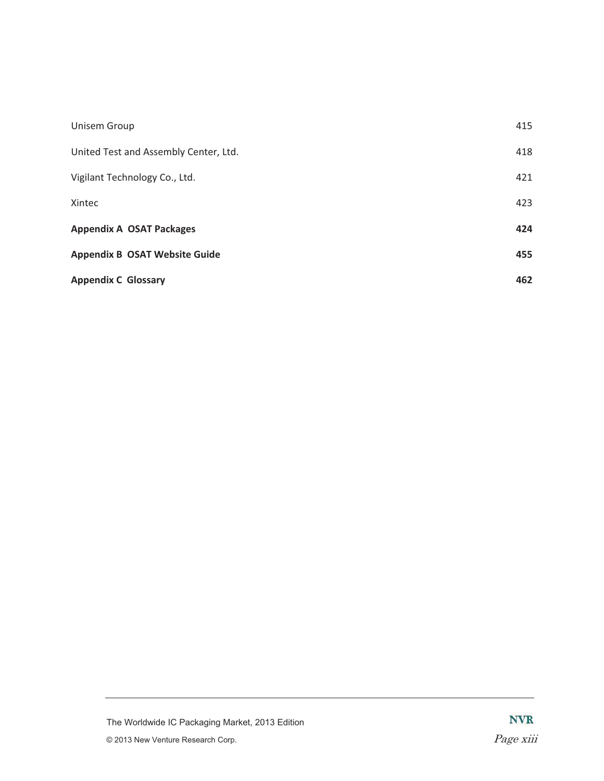| Unisem Group                          | 415 |
|---------------------------------------|-----|
| United Test and Assembly Center, Ltd. | 418 |
| Vigilant Technology Co., Ltd.         | 421 |
| Xintec                                | 423 |
| <b>Appendix A OSAT Packages</b>       | 424 |
| <b>Appendix B OSAT Website Guide</b>  | 455 |
| <b>Appendix C Glossary</b>            | 462 |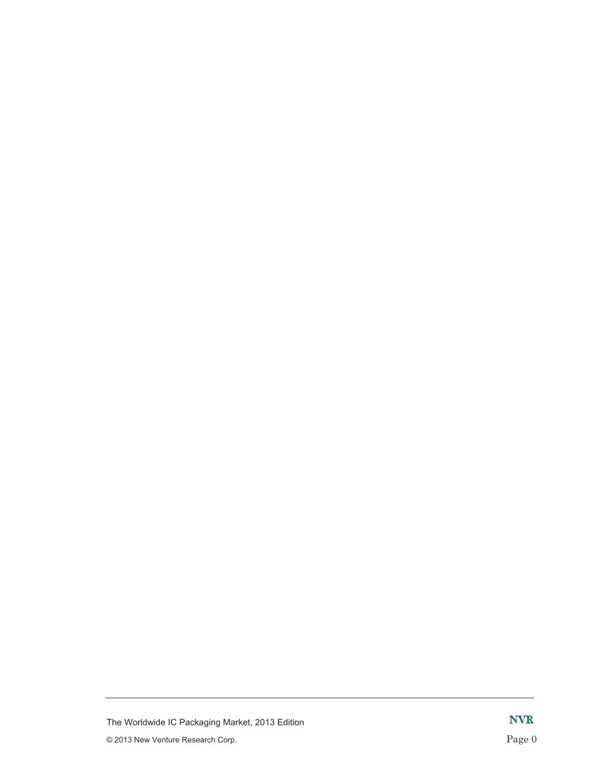The Worldwide IC Packaging Market, 2013 Edition

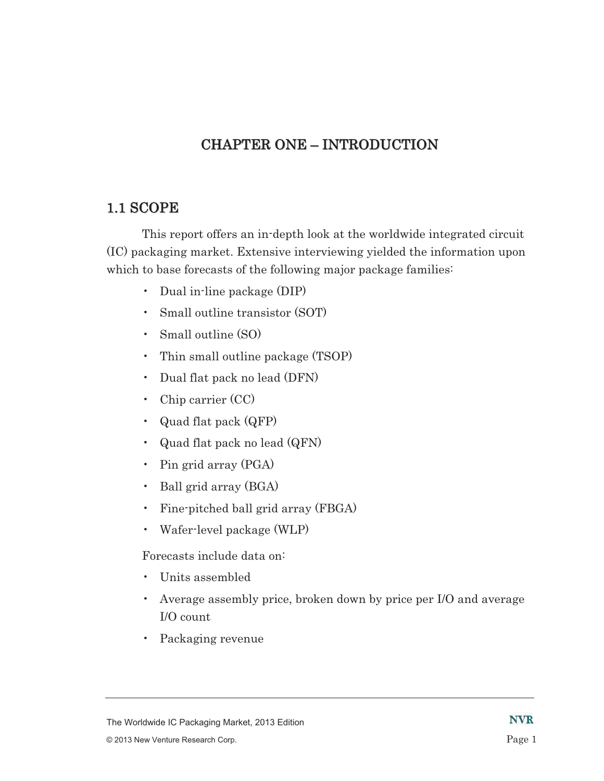### CHAPTER ONE – INTRODUCTION

### 1.1 SCOPE

This report offers an in-depth look at the worldwide integrated circuit (IC) packaging market. Extensive interviewing yielded the information upon which to base forecasts of the following major package families:

- Dual in-line package (DIP)
- Small outline transistor (SOT)
- Small outline (SO)
- Thin small outline package (TSOP)
- Dual flat pack no lead (DFN)
- Chip carrier (CC)
- Quad flat pack (QFP)
- Quad flat pack no lead (QFN)
- Pin grid array (PGA)
- Ball grid array (BGA)
- Fine-pitched ball grid array (FBGA)
- Wafer-level package (WLP)

Forecasts include data on:

- Units assembled
- Average assembly price, broken down by price per I/O and average I/O count
- Packaging revenue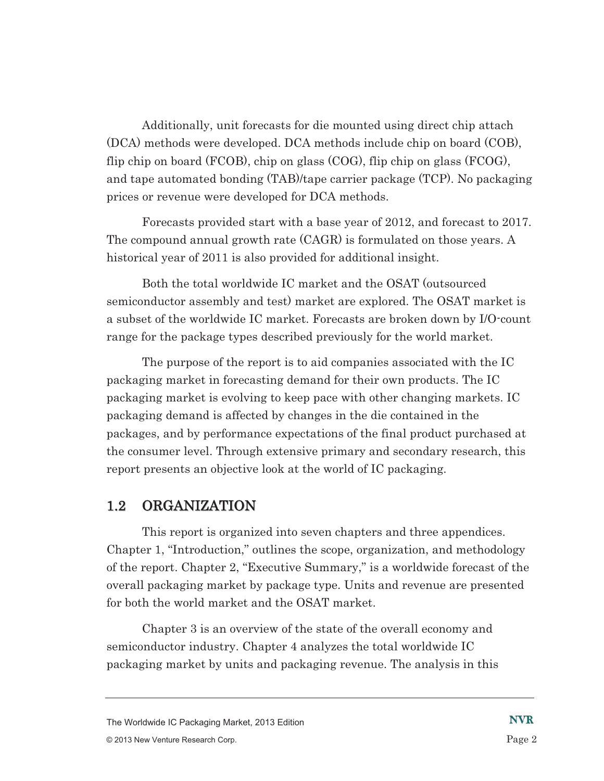Additionally, unit forecasts for die mounted using direct chip attach (DCA) methods were developed. DCA methods include chip on board (COB), flip chip on board (FCOB), chip on glass (COG), flip chip on glass (FCOG), and tape automated bonding (TAB)/tape carrier package (TCP). No packaging prices or revenue were developed for DCA methods.

Forecasts provided start with a base year of 2012, and forecast to 2017. The compound annual growth rate (CAGR) is formulated on those years. A historical year of 2011 is also provided for additional insight.

Both the total worldwide IC market and the OSAT (outsourced semiconductor assembly and test) market are explored. The OSAT market is a subset of the worldwide IC market. Forecasts are broken down by I/O-count range for the package types described previously for the world market.

The purpose of the report is to aid companies associated with the IC packaging market in forecasting demand for their own products. The IC packaging market is evolving to keep pace with other changing markets. IC packaging demand is affected by changes in the die contained in the packages, and by performance expectations of the final product purchased at the consumer level. Through extensive primary and secondary research, this report presents an objective look at the world of IC packaging.

### 1.2 ORGANIZATION

This report is organized into seven chapters and three appendices. Chapter 1, "Introduction," outlines the scope, organization, and methodology of the report. Chapter 2, "Executive Summary," is a worldwide forecast of the overall packaging market by package type. Units and revenue are presented for both the world market and the OSAT market.

Chapter 3 is an overview of the state of the overall economy and semiconductor industry. Chapter 4 analyzes the total worldwide IC packaging market by units and packaging revenue. The analysis in this

The Worldwide IC Packaging Market, 2013 Edition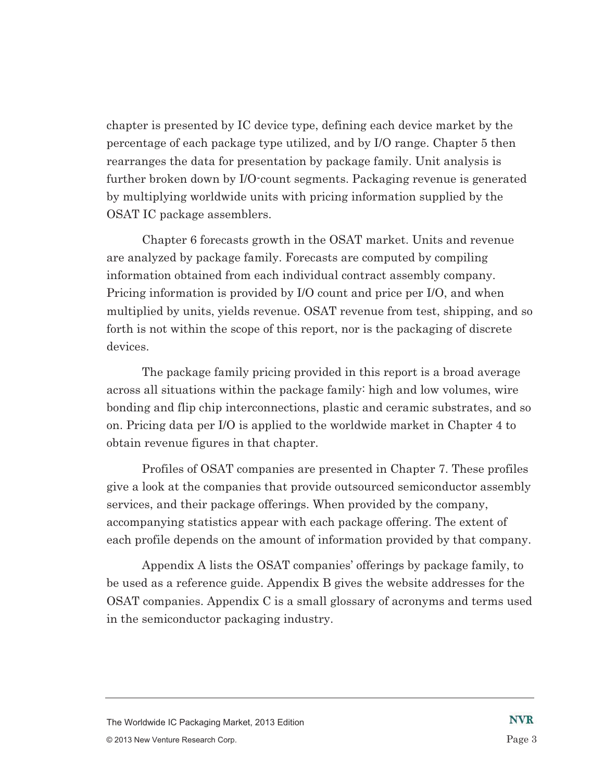chapter is presented by IC device type, defining each device market by the percentage of each package type utilized, and by I/O range. Chapter 5 then rearranges the data for presentation by package family. Unit analysis is further broken down by I/O-count segments. Packaging revenue is generated by multiplying worldwide units with pricing information supplied by the OSAT IC package assemblers.

Chapter 6 forecasts growth in the OSAT market. Units and revenue are analyzed by package family. Forecasts are computed by compiling information obtained from each individual contract assembly company. Pricing information is provided by I/O count and price per I/O, and when multiplied by units, yields revenue. OSAT revenue from test, shipping, and so forth is not within the scope of this report, nor is the packaging of discrete devices.

The package family pricing provided in this report is a broad average across all situations within the package family: high and low volumes, wire bonding and flip chip interconnections, plastic and ceramic substrates, and so on. Pricing data per I/O is applied to the worldwide market in Chapter 4 to obtain revenue figures in that chapter.

Profiles of OSAT companies are presented in Chapter 7. These profiles give a look at the companies that provide outsourced semiconductor assembly services, and their package offerings. When provided by the company, accompanying statistics appear with each package offering. The extent of each profile depends on the amount of information provided by that company.

Appendix A lists the OSAT companies' offerings by package family, to be used as a reference guide. Appendix B gives the website addresses for the OSAT companies. Appendix C is a small glossary of acronyms and terms used in the semiconductor packaging industry.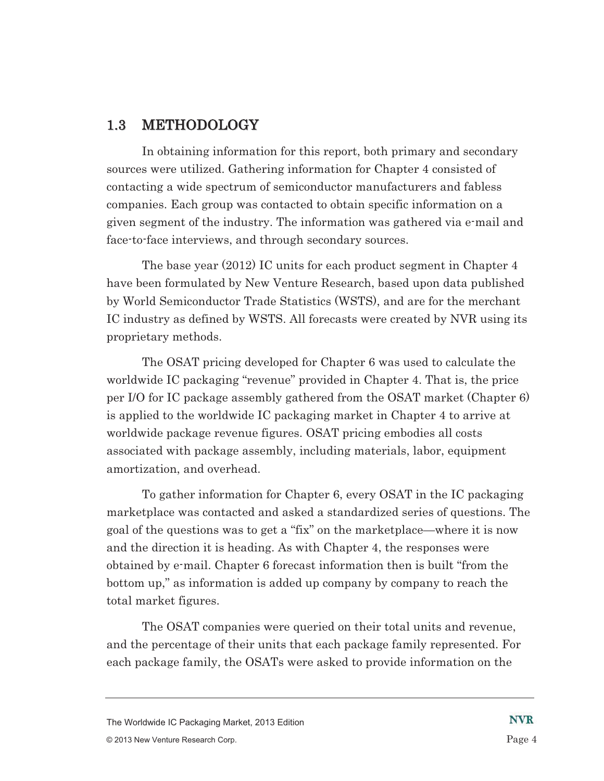### 1.3 METHODOLOGY

In obtaining information for this report, both primary and secondary sources were utilized. Gathering information for Chapter 4 consisted of contacting a wide spectrum of semiconductor manufacturers and fabless companies. Each group was contacted to obtain specific information on a given segment of the industry. The information was gathered via e-mail and face-to-face interviews, and through secondary sources.

The base year (2012) IC units for each product segment in Chapter 4 have been formulated by New Venture Research, based upon data published by World Semiconductor Trade Statistics (WSTS), and are for the merchant IC industry as defined by WSTS. All forecasts were created by NVR using its proprietary methods.

The OSAT pricing developed for Chapter 6 was used to calculate the worldwide IC packaging "revenue" provided in Chapter 4. That is, the price per I/O for IC package assembly gathered from the OSAT market (Chapter 6) is applied to the worldwide IC packaging market in Chapter 4 to arrive at worldwide package revenue figures. OSAT pricing embodies all costs associated with package assembly, including materials, labor, equipment amortization, and overhead.

To gather information for Chapter 6, every OSAT in the IC packaging marketplace was contacted and asked a standardized series of questions. The goal of the questions was to get a "fix" on the marketplace—where it is now and the direction it is heading. As with Chapter 4, the responses were obtained by e-mail. Chapter 6 forecast information then is built "from the bottom up," as information is added up company by company to reach the total market figures.

The OSAT companies were queried on their total units and revenue, and the percentage of their units that each package family represented. For each package family, the OSATs were asked to provide information on the

The Worldwide IC Packaging Market, 2013 Edition